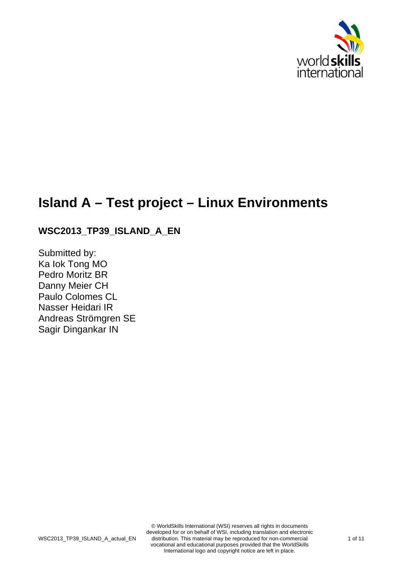

# **Island A – Test project – Linux Environments**

# **WSC2013\_TP39\_ISLAND\_A\_EN**

Submitted by: Ka Iok Tong MO Pedro Moritz BR Danny Meier CH Paulo Colomes CL Nasser Heidari IR Andreas Strömgren SE Sagir Dingankar IN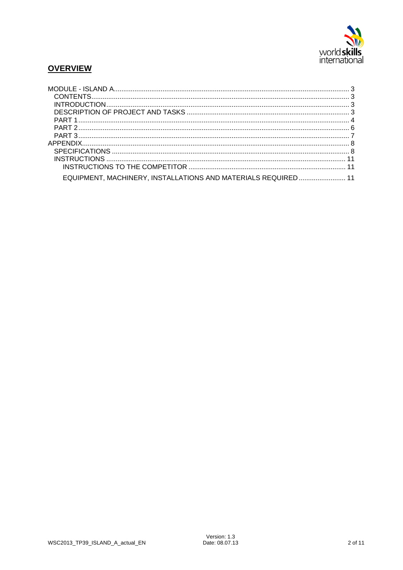

# **OVERVIEW**

| EQUIPMENT, MACHINERY, INSTALLATIONS AND MATERIALS REQUIRED 11 |  |
|---------------------------------------------------------------|--|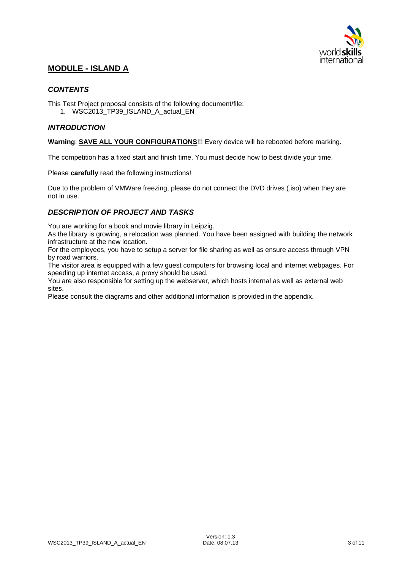

# **MODULE - ISLAND A**

### *CONTENTS*

This Test Project proposal consists of the following document/file: 1. WSC2013\_TP39\_ISLAND\_A\_actual\_EN

#### *INTRODUCTION*

**Warning**: **SAVE ALL YOUR CONFIGURATIONS**!!! Every device will be rebooted before marking.

The competition has a fixed start and finish time. You must decide how to best divide your time.

Please **carefully** read the following instructions!

Due to the problem of VMWare freezing, please do not connect the DVD drives (.iso) when they are not in use.

### *DESCRIPTION OF PROJECT AND TASKS*

You are working for a book and movie library in Leipzig.

As the library is growing, a relocation was planned. You have been assigned with building the network infrastructure at the new location.

For the employees, you have to setup a server for file sharing as well as ensure access through VPN by road warriors.

The visitor area is equipped with a few guest computers for browsing local and internet webpages. For speeding up internet access, a proxy should be used.

You are also responsible for setting up the webserver, which hosts internal as well as external web sites.

Please consult the diagrams and other additional information is provided in the appendix.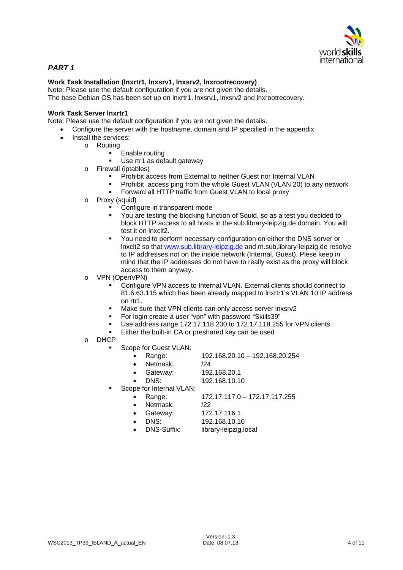

## *PART 1*

#### **Work Task Installation (lnxrtr1, lnxsrv1, lnxsrv2, lnxrootrecovery)**

Note: Please use the default configuration if you are not given the details. The base Debian OS has been set up on lnxrtr1, lnxsrv1, lnxsrv2 and lnxrootrecovery.

#### **Work Task Server lnxrtr1**

Note: Please use the default configuration if you are not given the details.

- Configure the server with the hostname, domain and IP specified in the appendix
- Install the services:
	- o Routing
		- Enable routing
		- Use rtr1 as default gateway
		- o Firewall (iptables)
			- Prohibit access from External to neither Guest nor Internal VLAN
			- Prohibit access ping from the whole Guest VLAN (VLAN 20) to any network
				- Forward all HTTP traffic from Guest VLAN to local proxy
		- o Proxy (squid)
			- Configure in transparent mode
			- You are testing the blocking function of Squid, so as a test you decided to block HTTP access to all hosts in the sub.library-leipzig.de domain. You will test it on lnxclt2.
			- You need to perform necessary configuration on either the DNS server or lnxclt2 so that www.sub.library-leipzig.de and m.sub.library-leipzig.de resolve to IP addresses not on the inside network (Internal, Guest). Plese keep in mind that the IP addresses do not have to really exist as the proxy will block access to them anyway.
		- o VPN (OpenVPN)
			- Configure VPN access to Internal VLAN. External clients should connect to 81.6.63.115 which has been already mapped to lnxrtr1's VLAN 10 IP address on rtr1.
			- Make sure that VPN clients can only access server lnxsrv2
			- For login create a user "vpn" with password "Skills39"
			- Use address range 172.17.118.200 to 172.17.118.255 for VPN clients
			- Either the built-in CA or preshared key can be used
		- o DHCP
			- Scope for Guest VLAN:
				- Range: 192.168.20.10 192.168.20.254 Netmask: /24 Gateway: 192.168.20.1 DNS: 192.168.10.10 Scope for Internal VLAN: Range: 172.17.117.0 – 172.17.117.255 Netmask: /22 Gateway: 172.17.116.1 DNS: 192.168.10.10
					- DNS-Suffix: library-leipzig.local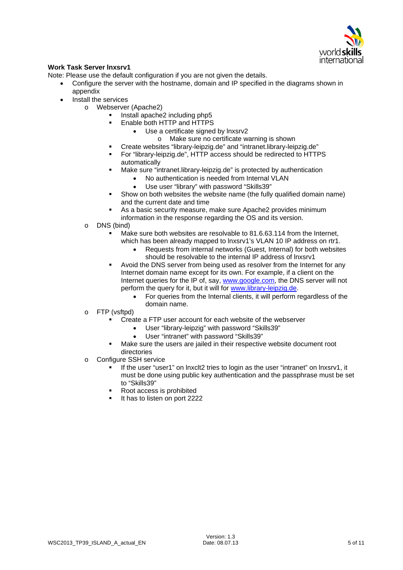

#### **Work Task Server lnxsrv1**

Note: Please use the default configuration if you are not given the details.

- Configure the server with the hostname, domain and IP specified in the diagrams shown in appendix
- Install the services
	- o Webserver (Apache2)
		- Install apache2 including php5
		- **Enable both HTTP and HTTPS** 
			- Use a certificate signed by lnxsrv2
			- o Make sure no certificate warning is shown
			- Create websites "library-leipzig.de" and "intranet.library-leipzig.de"
		- For "library-leipzig.de", HTTP access should be redirected to HTTPS automatically
		- Make sure "intranet.library-leipzig.de" is protected by authentication
			- No authentication is needed from Internal VLAN
			- Use user "library" with password "Skills39"
		- Show on both websites the website name (the fully qualified domain name) and the current date and time
		- As a basic security measure, make sure Apache2 provides minimum
			- information in the response regarding the OS and its version.
	- o DNS (bind)
		- Make sure both websites are resolvable to 81.6.63.114 from the Internet, which has been already mapped to lnxsrv1's VLAN 10 IP address on rtr1.
			- Requests from internal networks (Guest, Internal) for both websites should be resolvable to the internal IP address of lnxsrv1
		- Avoid the DNS server from being used as resolver from the Internet for any Internet domain name except for its own. For example, if a client on the Internet queries for the IP of, say, www.google.com, the DNS server will not perform the query for it, but it will for www.library-leipzig.de.
			- For queries from the Internal clients, it will perform regardless of the domain name.
	- o FTP (vsftpd)
		- Create a FTP user account for each website of the webserver
			- User "library-leipzig" with password "Skills39"
			- User "intranet" with password "Skills39"
		- Make sure the users are jailed in their respective website document root directories
	- o Configure SSH service
		- If the user "user1" on lnxclt2 tries to login as the user "intranet" on lnxsrv1, it must be done using public key authentication and the passphrase must be set to "Skills39"
		- Root access is prohibited
		- It has to listen on port 2222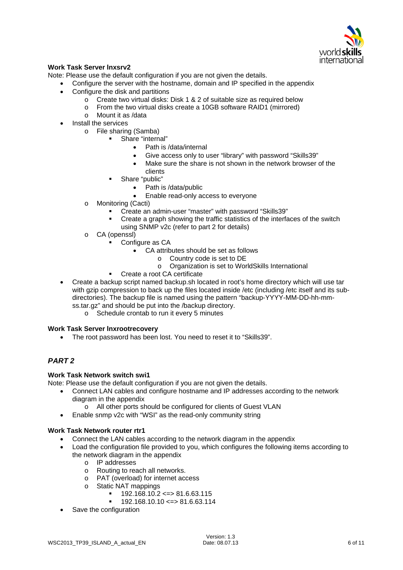

#### **Work Task Server lnxsrv2**

Note: Please use the default configuration if you are not given the details.

- Configure the server with the hostname, domain and IP specified in the appendix
- Configure the disk and partitions
	- $\circ$  Create two virtual disks: Disk 1 & 2 of suitable size as required below
	- o From the two virtual disks create a 10GB software RAID1 (mirrored)
	- o Mount it as /data
- Install the services
	- o File sharing (Samba)
		- Share "internal"
			- Path is /data/internal
			- Give access only to user "library" with password "Skills39"
			- Make sure the share is not shown in the network browser of the clients
		- Share "public"
			- Path is /data/public
				- Enable read-only access to everyone
	- o Monitoring (Cacti)
		- Create an admin-user "master" with password "Skills39"
		- Create a graph showing the traffic statistics of the interfaces of the switch
		- using SNMP v2c (refer to part 2 for details)
	- o CA (openssl)
		- Configure as CA
			- CA attributes should be set as follows
				- o Country code is set to DE
				- o Organization is set to WorldSkills International
			- Create a root CA certificate
- Create a backup script named backup.sh located in root's home directory which will use tar with gzip compression to back up the files located inside /etc (including /etc itself and its subdirectories). The backup file is named using the pattern "backup-YYYY-MM-DD-hh-mmss.tar.gz" and should be put into the /backup directory.
	- o Schedule crontab to run it every 5 minutes

#### **Work Task Server lnxrootrecovery**

• The root password has been lost. You need to reset it to "Skills39".

# *PART 2*

#### **Work Task Network switch swi1**

Note: Please use the default configuration if you are not given the details.

- Connect LAN cables and configure hostname and IP addresses according to the network diagram in the appendix
	- o All other ports should be configured for clients of Guest VLAN
- Enable snmp v2c with "WSI" as the read-only community string

#### **Work Task Network router rtr1**

- Connect the LAN cables according to the network diagram in the appendix
- Load the configuration file provided to you, which configures the following items according to the network diagram in the appendix
	- o IP addresses
	- o Routing to reach all networks.
	- o PAT (overload) for internet access
	- o Static NAT mappings
		- $192.168.10.2 \leq x \leq 81.6.63.115$
		- 192.168.10.10 <=> 81.6.63.114
- Save the configuration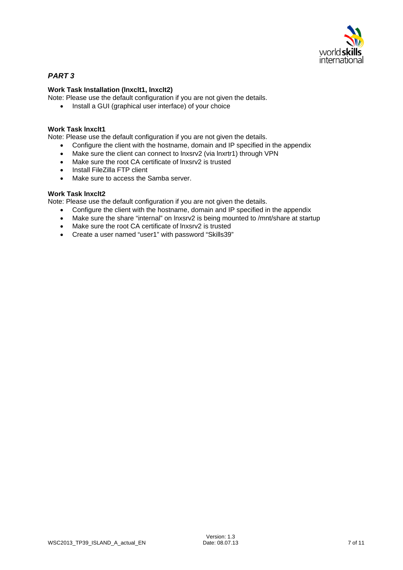

## *PART 3*

#### **Work Task Installation (lnxclt1, lnxclt2)**

Note: Please use the default configuration if you are not given the details.

• Install a GUI (graphical user interface) of your choice

#### **Work Task lnxclt1**

Note: Please use the default configuration if you are not given the details.

- Configure the client with the hostname, domain and IP specified in the appendix
- Make sure the client can connect to lnxsrv2 (via lnxrtr1) through VPN
- Make sure the root CA certificate of lnxsrv2 is trusted
- Install FileZilla FTP client
- Make sure to access the Samba server.

#### **Work Task lnxclt2**

Note: Please use the default configuration if you are not given the details.

- Configure the client with the hostname, domain and IP specified in the appendix
- Make sure the share "internal" on lnxsrv2 is being mounted to /mnt/share at startup
- Make sure the root CA certificate of lnxsrv2 is trusted
- Create a user named "user1" with password "Skills39"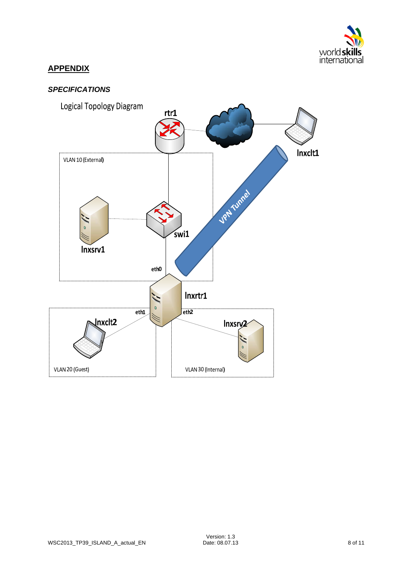

# **APPENDIX**

# *SPECIFICATIONS*

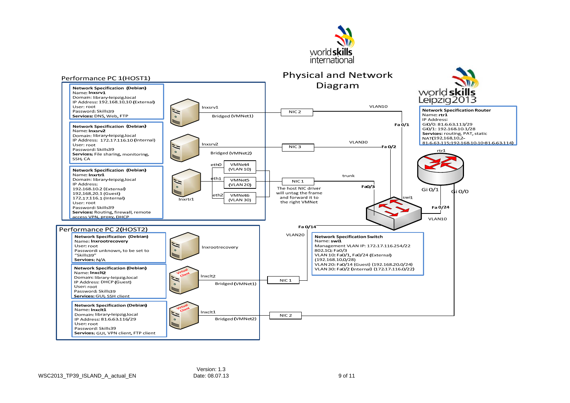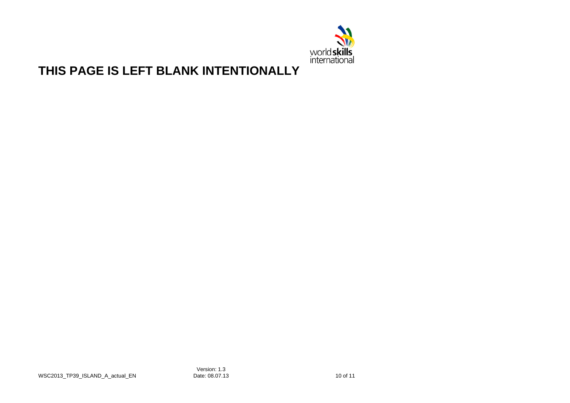

# **THIS PAGE IS LEFT BLANK INTENTIONALLY**